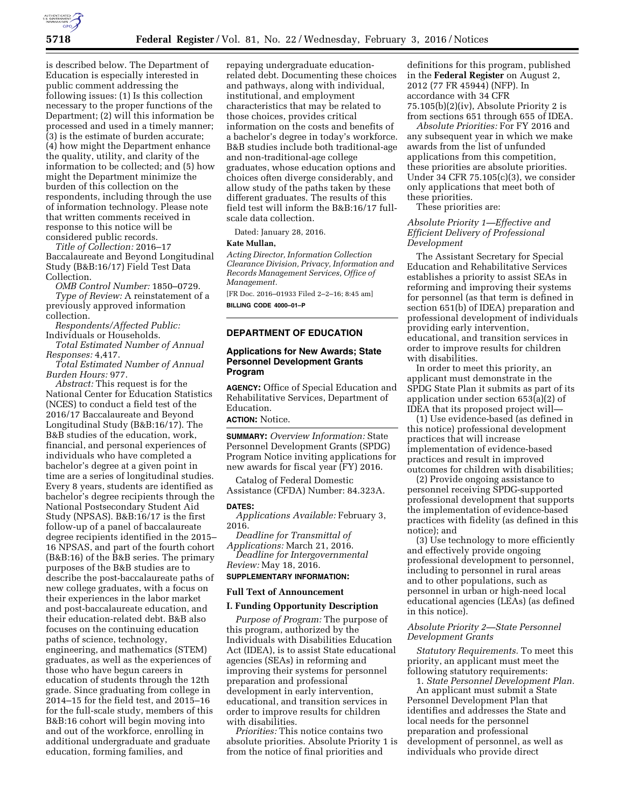

is described below. The Department of Education is especially interested in public comment addressing the following issues: (1) Is this collection necessary to the proper functions of the Department; (2) will this information be processed and used in a timely manner; (3) is the estimate of burden accurate; (4) how might the Department enhance the quality, utility, and clarity of the information to be collected; and (5) how might the Department minimize the burden of this collection on the respondents, including through the use of information technology. Please note that written comments received in response to this notice will be considered public records.

*Title of Collection:* 2016–17 Baccalaureate and Beyond Longitudinal Study (B&B:16/17) Field Test Data Collection.

*OMB Control Number:* 1850–0729. *Type of Review:* A reinstatement of a previously approved information collection.

*Respondents/Affected Public:*  Individuals or Households.

*Total Estimated Number of Annual Responses:* 4,417.

*Total Estimated Number of Annual Burden Hours:* 977.

*Abstract:* This request is for the National Center for Education Statistics (NCES) to conduct a field test of the 2016/17 Baccalaureate and Beyond Longitudinal Study (B&B:16/17). The B&B studies of the education, work, financial, and personal experiences of individuals who have completed a bachelor's degree at a given point in time are a series of longitudinal studies. Every 8 years, students are identified as bachelor's degree recipients through the National Postsecondary Student Aid Study (NPSAS). B&B:16/17 is the first follow-up of a panel of baccalaureate degree recipients identified in the 2015– 16 NPSAS, and part of the fourth cohort (B&B:16) of the B&B series. The primary purposes of the B&B studies are to describe the post-baccalaureate paths of new college graduates, with a focus on their experiences in the labor market and post-baccalaureate education, and their education-related debt. B&B also focuses on the continuing education paths of science, technology, engineering, and mathematics (STEM) graduates, as well as the experiences of those who have begun careers in education of students through the 12th grade. Since graduating from college in 2014–15 for the field test, and 2015–16 for the full-scale study, members of this B&B:16 cohort will begin moving into and out of the workforce, enrolling in additional undergraduate and graduate education, forming families, and

repaying undergraduate educationrelated debt. Documenting these choices and pathways, along with individual, institutional, and employment characteristics that may be related to those choices, provides critical information on the costs and benefits of a bachelor's degree in today's workforce. B&B studies include both traditional-age and non-traditional-age college graduates, whose education options and choices often diverge considerably, and allow study of the paths taken by these different graduates. The results of this field test will inform the B&B:16/17 fullscale data collection.

Dated: January 28, 2016.

# **Kate Mullan,**

*Acting Director, Information Collection Clearance Division, Privacy, Information and Records Management Services, Office of Management.* 

[FR Doc. 2016–01933 Filed 2–2–16; 8:45 am] **BILLING CODE 4000–01–P** 

# **DEPARTMENT OF EDUCATION**

## **Applications for New Awards; State Personnel Development Grants Program**

**AGENCY:** Office of Special Education and Rehabilitative Services, Department of Education. **ACTION:** Notice.

**SUMMARY:** *Overview Information:* State Personnel Development Grants (SPDG) Program Notice inviting applications for new awards for fiscal year (FY) 2016.

Catalog of Federal Domestic Assistance (CFDA) Number: 84.323A.

#### **DATES:**

*Applications Available:* February 3, 2016.

*Deadline for Transmittal of Applications:* March 21, 2016. *Deadline for Intergovernmental Review:* May 18, 2016.

### **SUPPLEMENTARY INFORMATION:**

#### **Full Text of Announcement**

### **I. Funding Opportunity Description**

*Purpose of Program:* The purpose of this program, authorized by the Individuals with Disabilities Education Act (IDEA), is to assist State educational agencies (SEAs) in reforming and improving their systems for personnel preparation and professional development in early intervention, educational, and transition services in order to improve results for children with disabilities.

*Priorities:* This notice contains two absolute priorities. Absolute Priority 1 is from the notice of final priorities and

definitions for this program, published in the **Federal Register** on August 2, 2012 (77 FR 45944) (NFP). In accordance with 34 CFR 75.105(b)(2)(iv), Absolute Priority 2 is from sections 651 through 655 of IDEA.

*Absolute Priorities:* For FY 2016 and any subsequent year in which we make awards from the list of unfunded applications from this competition, these priorities are absolute priorities. Under 34 CFR  $75.105(c)(3)$ , we consider only applications that meet both of these priorities.

These priorities are:

## *Absolute Priority 1—Effective and Efficient Delivery of Professional Development*

The Assistant Secretary for Special Education and Rehabilitative Services establishes a priority to assist SEAs in reforming and improving their systems for personnel (as that term is defined in section 651(b) of IDEA) preparation and professional development of individuals providing early intervention, educational, and transition services in order to improve results for children with disabilities.

In order to meet this priority, an applicant must demonstrate in the SPDG State Plan it submits as part of its application under section 653(a)(2) of IDEA that its proposed project will—

(1) Use evidence-based (as defined in this notice) professional development practices that will increase implementation of evidence-based practices and result in improved outcomes for children with disabilities;

(2) Provide ongoing assistance to personnel receiving SPDG-supported professional development that supports the implementation of evidence-based practices with fidelity (as defined in this notice); and

(3) Use technology to more efficiently and effectively provide ongoing professional development to personnel, including to personnel in rural areas and to other populations, such as personnel in urban or high-need local educational agencies (LEAs) (as defined in this notice).

## *Absolute Priority 2—State Personnel Development Grants*

*Statutory Requirements.* To meet this priority, an applicant must meet the following statutory requirements:

1. *State Personnel Development Plan.*  An applicant must submit a State Personnel Development Plan that identifies and addresses the State and local needs for the personnel preparation and professional development of personnel, as well as individuals who provide direct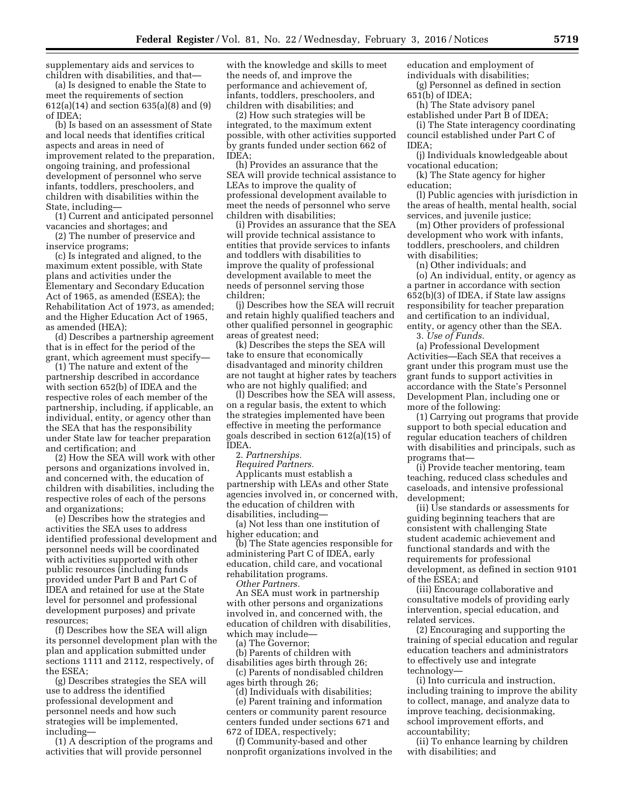supplementary aids and services to children with disabilities, and that—

(a) Is designed to enable the State to meet the requirements of section 612(a)(14) and section 635(a)(8) and (9) of IDEA;

(b) Is based on an assessment of State and local needs that identifies critical aspects and areas in need of improvement related to the preparation, ongoing training, and professional development of personnel who serve infants, toddlers, preschoolers, and children with disabilities within the State, including—

(1) Current and anticipated personnel vacancies and shortages; and

(2) The number of preservice and inservice programs;

(c) Is integrated and aligned, to the maximum extent possible, with State plans and activities under the Elementary and Secondary Education Act of 1965, as amended (ESEA); the Rehabilitation Act of 1973, as amended; and the Higher Education Act of 1965, as amended (HEA);

(d) Describes a partnership agreement that is in effect for the period of the grant, which agreement must specify—

(1) The nature and extent of the partnership described in accordance with section 652(b) of IDEA and the respective roles of each member of the partnership, including, if applicable, an individual, entity, or agency other than the SEA that has the responsibility under State law for teacher preparation and certification; and

(2) How the SEA will work with other persons and organizations involved in, and concerned with, the education of children with disabilities, including the respective roles of each of the persons and organizations;

(e) Describes how the strategies and activities the SEA uses to address identified professional development and personnel needs will be coordinated with activities supported with other public resources (including funds provided under Part B and Part C of IDEA and retained for use at the State level for personnel and professional development purposes) and private resources;

(f) Describes how the SEA will align its personnel development plan with the plan and application submitted under sections 1111 and 2112, respectively, of the ESEA;

(g) Describes strategies the SEA will use to address the identified professional development and personnel needs and how such strategies will be implemented, including—

(1) A description of the programs and activities that will provide personnel

with the knowledge and skills to meet the needs of, and improve the performance and achievement of, infants, toddlers, preschoolers, and children with disabilities; and

(2) How such strategies will be integrated, to the maximum extent possible, with other activities supported by grants funded under section 662 of IDEA;

(h) Provides an assurance that the SEA will provide technical assistance to LEAs to improve the quality of professional development available to meet the needs of personnel who serve children with disabilities;

(i) Provides an assurance that the SEA will provide technical assistance to entities that provide services to infants and toddlers with disabilities to improve the quality of professional development available to meet the needs of personnel serving those children;

(j) Describes how the SEA will recruit and retain highly qualified teachers and other qualified personnel in geographic areas of greatest need;

(k) Describes the steps the SEA will take to ensure that economically disadvantaged and minority children are not taught at higher rates by teachers who are not highly qualified; and

(l) Describes how the SEA will assess, on a regular basis, the extent to which the strategies implemented have been effective in meeting the performance goals described in section 612(a)(15) of IDEA.

2. *Partnerships.* 

*Required Partners.* 

Applicants must establish a partnership with LEAs and other State agencies involved in, or concerned with, the education of children with disabilities, including—

(a) Not less than one institution of higher education; and

(b) The State agencies responsible for administering Part C of IDEA, early education, child care, and vocational rehabilitation programs.

*Other Partners.* 

An SEA must work in partnership with other persons and organizations involved in, and concerned with, the education of children with disabilities, which may include—

(a) The Governor;

(b) Parents of children with disabilities ages birth through 26;

(c) Parents of nondisabled children ages birth through 26;

(d) Individuals with disabilities; (e) Parent training and information centers or community parent resource centers funded under sections 671 and 672 of IDEA, respectively;

(f) Community-based and other nonprofit organizations involved in the education and employment of individuals with disabilities;

(g) Personnel as defined in section 651(b) of IDEA;

(h) The State advisory panel established under Part B of IDEA;

(i) The State interagency coordinating council established under Part C of IDEA;

(j) Individuals knowledgeable about vocational education;

(k) The State agency for higher education;

(l) Public agencies with jurisdiction in the areas of health, mental health, social services, and juvenile justice;

(m) Other providers of professional development who work with infants, toddlers, preschoolers, and children with disabilities;

(n) Other individuals; and

(o) An individual, entity, or agency as a partner in accordance with section 652(b)(3) of IDEA, if State law assigns responsibility for teacher preparation and certification to an individual, entity, or agency other than the SEA.

3. *Use of Funds.* 

(a) Professional Development Activities—Each SEA that receives a grant under this program must use the grant funds to support activities in accordance with the State's Personnel Development Plan, including one or more of the following:

(1) Carrying out programs that provide support to both special education and regular education teachers of children with disabilities and principals, such as programs that—

(i) Provide teacher mentoring, team teaching, reduced class schedules and caseloads, and intensive professional development;

(ii) Use standards or assessments for guiding beginning teachers that are consistent with challenging State student academic achievement and functional standards and with the requirements for professional development, as defined in section 9101 of the ESEA; and

(iii) Encourage collaborative and consultative models of providing early intervention, special education, and related services.

(2) Encouraging and supporting the training of special education and regular education teachers and administrators to effectively use and integrate technology—

(i) Into curricula and instruction, including training to improve the ability to collect, manage, and analyze data to improve teaching, decisionmaking, school improvement efforts, and accountability;

(ii) To enhance learning by children with disabilities; and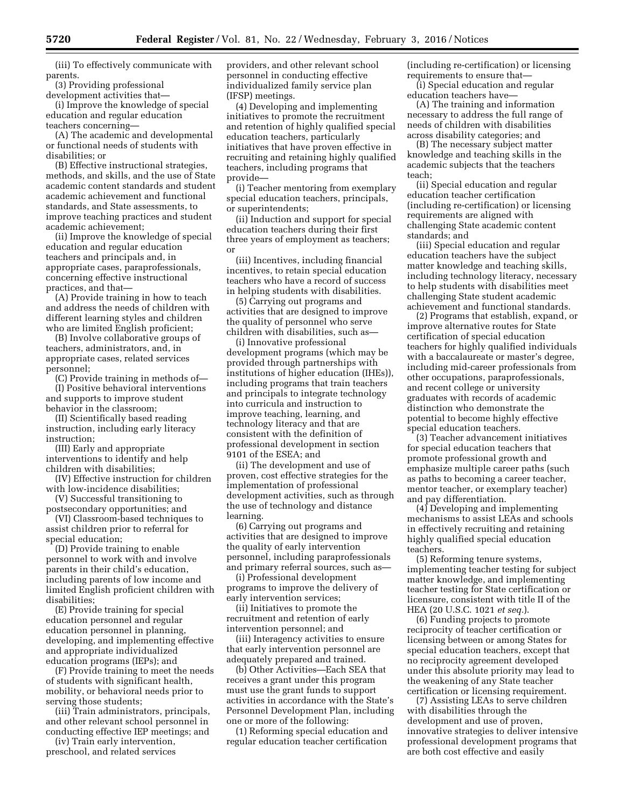(iii) To effectively communicate with parents.

(3) Providing professional

development activities that— (i) Improve the knowledge of special education and regular education

teachers concerning—

(A) The academic and developmental or functional needs of students with disabilities; or

(B) Effective instructional strategies, methods, and skills, and the use of State academic content standards and student academic achievement and functional standards, and State assessments, to improve teaching practices and student academic achievement;

(ii) Improve the knowledge of special education and regular education teachers and principals and, in appropriate cases, paraprofessionals, concerning effective instructional practices, and that—

(A) Provide training in how to teach and address the needs of children with different learning styles and children who are limited English proficient;

(B) Involve collaborative groups of teachers, administrators, and, in appropriate cases, related services personnel;

(C) Provide training in methods of— (I) Positive behavioral interventions

and supports to improve student behavior in the classroom; (II) Scientifically based reading

instruction, including early literacy instruction;

(III) Early and appropriate interventions to identify and help children with disabilities;

(IV) Effective instruction for children with low-incidence disabilities;

(V) Successful transitioning to postsecondary opportunities; and

(VI) Classroom-based techniques to assist children prior to referral for

special education; (D) Provide training to enable personnel to work with and involve parents in their child's education, including parents of low income and limited English proficient children with disabilities;

(E) Provide training for special education personnel and regular education personnel in planning, developing, and implementing effective and appropriate individualized education programs (IEPs); and

(F) Provide training to meet the needs of students with significant health, mobility, or behavioral needs prior to serving those students;

(iii) Train administrators, principals, and other relevant school personnel in conducting effective IEP meetings; and

(iv) Train early intervention, preschool, and related services providers, and other relevant school personnel in conducting effective individualized family service plan (IFSP) meetings.

(4) Developing and implementing initiatives to promote the recruitment and retention of highly qualified special education teachers, particularly initiatives that have proven effective in recruiting and retaining highly qualified teachers, including programs that provide—

(i) Teacher mentoring from exemplary special education teachers, principals, or superintendents;

(ii) Induction and support for special education teachers during their first three years of employment as teachers; or

(iii) Incentives, including financial incentives, to retain special education teachers who have a record of success in helping students with disabilities.

(5) Carrying out programs and activities that are designed to improve the quality of personnel who serve children with disabilities, such as—

(i) Innovative professional development programs (which may be provided through partnerships with institutions of higher education (IHEs)), including programs that train teachers and principals to integrate technology into curricula and instruction to improve teaching, learning, and technology literacy and that are consistent with the definition of professional development in section 9101 of the ESEA; and

(ii) The development and use of proven, cost effective strategies for the implementation of professional development activities, such as through the use of technology and distance learning.

(6) Carrying out programs and activities that are designed to improve the quality of early intervention personnel, including paraprofessionals and primary referral sources, such as—

(i) Professional development programs to improve the delivery of early intervention services;

(ii) Initiatives to promote the recruitment and retention of early intervention personnel; and

(iii) Interagency activities to ensure that early intervention personnel are adequately prepared and trained.

(b) Other Activities—Each SEA that receives a grant under this program must use the grant funds to support activities in accordance with the State's Personnel Development Plan, including one or more of the following:

(1) Reforming special education and regular education teacher certification

(including re-certification) or licensing requirements to ensure that—

(i) Special education and regular education teachers have—

(A) The training and information necessary to address the full range of needs of children with disabilities across disability categories; and

(B) The necessary subject matter knowledge and teaching skills in the academic subjects that the teachers teach;

(ii) Special education and regular education teacher certification (including re-certification) or licensing requirements are aligned with challenging State academic content standards; and

(iii) Special education and regular education teachers have the subject matter knowledge and teaching skills, including technology literacy, necessary to help students with disabilities meet challenging State student academic achievement and functional standards.

(2) Programs that establish, expand, or improve alternative routes for State certification of special education teachers for highly qualified individuals with a baccalaureate or master's degree, including mid-career professionals from other occupations, paraprofessionals, and recent college or university graduates with records of academic distinction who demonstrate the potential to become highly effective special education teachers.

(3) Teacher advancement initiatives for special education teachers that promote professional growth and emphasize multiple career paths (such as paths to becoming a career teacher, mentor teacher, or exemplary teacher) and pay differentiation.

(4) Developing and implementing mechanisms to assist LEAs and schools in effectively recruiting and retaining highly qualified special education teachers.

(5) Reforming tenure systems, implementing teacher testing for subject matter knowledge, and implementing teacher testing for State certification or licensure, consistent with title II of the HEA (20 U.S.C. 1021 *et seq.*).

(6) Funding projects to promote reciprocity of teacher certification or licensing between or among States for special education teachers, except that no reciprocity agreement developed under this absolute priority may lead to the weakening of any State teacher certification or licensing requirement.

(7) Assisting LEAs to serve children with disabilities through the development and use of proven, innovative strategies to deliver intensive professional development programs that are both cost effective and easily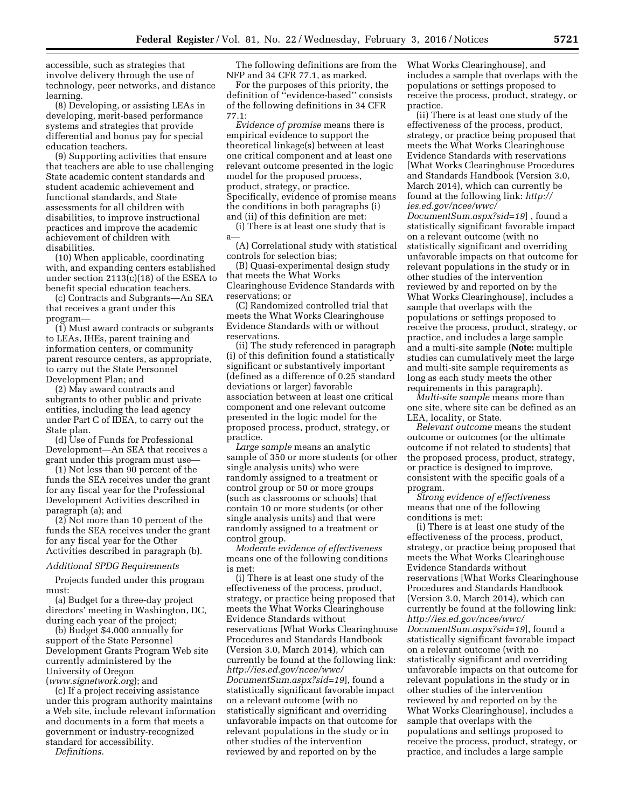accessible, such as strategies that involve delivery through the use of technology, peer networks, and distance learning.

(8) Developing, or assisting LEAs in developing, merit-based performance systems and strategies that provide differential and bonus pay for special education teachers.

(9) Supporting activities that ensure that teachers are able to use challenging State academic content standards and student academic achievement and functional standards, and State assessments for all children with disabilities, to improve instructional practices and improve the academic achievement of children with disabilities.

(10) When applicable, coordinating with, and expanding centers established under section 2113(c)(18) of the ESEA to benefit special education teachers.

(c) Contracts and Subgrants—An SEA that receives a grant under this program—

(1) Must award contracts or subgrants to LEAs, IHEs, parent training and information centers, or community parent resource centers, as appropriate, to carry out the State Personnel Development Plan; and

(2) May award contracts and subgrants to other public and private entities, including the lead agency under Part C of IDEA, to carry out the State plan.

(d) Use of Funds for Professional Development—An SEA that receives a grant under this program must use—

(1) Not less than 90 percent of the funds the SEA receives under the grant for any fiscal year for the Professional Development Activities described in paragraph (a); and

(2) Not more than 10 percent of the funds the SEA receives under the grant for any fiscal year for the Other Activities described in paragraph (b).

## *Additional SPDG Requirements*

Projects funded under this program must:

(a) Budget for a three-day project directors' meeting in Washington, DC, during each year of the project;

(b) Budget \$4,000 annually for support of the State Personnel Development Grants Program Web site currently administered by the University of Oregon (*[www.signetwork.org](http://www.signetwork.org)*); and

(c) If a project receiving assistance under this program authority maintains a Web site, include relevant information and documents in a form that meets a government or industry-recognized standard for accessibility.

*Definitions.* 

The following definitions are from the NFP and 34 CFR 77.1, as marked.

For the purposes of this priority, the definition of ''evidence-based'' consists of the following definitions in 34 CFR 77.1:

*Evidence of promise* means there is empirical evidence to support the theoretical linkage(s) between at least one critical component and at least one relevant outcome presented in the logic model for the proposed process, product, strategy, or practice. Specifically, evidence of promise means the conditions in both paragraphs (i) and (ii) of this definition are met:

(i) There is at least one study that is a—

(A) Correlational study with statistical controls for selection bias;

(B) Quasi-experimental design study that meets the What Works Clearinghouse Evidence Standards with reservations; or

(C) Randomized controlled trial that meets the What Works Clearinghouse Evidence Standards with or without reservations.

(ii) The study referenced in paragraph (i) of this definition found a statistically significant or substantively important (defined as a difference of 0.25 standard deviations or larger) favorable association between at least one critical component and one relevant outcome presented in the logic model for the proposed process, product, strategy, or practice.

*Large sample* means an analytic sample of 350 or more students (or other single analysis units) who were randomly assigned to a treatment or control group or 50 or more groups (such as classrooms or schools) that contain 10 or more students (or other single analysis units) and that were randomly assigned to a treatment or control group.

*Moderate evidence of effectiveness*  means one of the following conditions is met:

(i) There is at least one study of the effectiveness of the process, product, strategy, or practice being proposed that meets the What Works Clearinghouse Evidence Standards without reservations [What Works Clearinghouse Procedures and Standards Handbook (Version 3.0, March 2014), which can currently be found at the following link: *[http://ies.ed.gov/ncee/wwc/](http://ies.ed.gov/ncee/wwc/DocumentSum.aspx?sid=19) [DocumentSum.aspx?sid=19](http://ies.ed.gov/ncee/wwc/DocumentSum.aspx?sid=19)*], found a statistically significant favorable impact on a relevant outcome (with no statistically significant and overriding unfavorable impacts on that outcome for relevant populations in the study or in other studies of the intervention reviewed by and reported on by the

What Works Clearinghouse), and includes a sample that overlaps with the populations or settings proposed to receive the process, product, strategy, or practice.

(ii) There is at least one study of the effectiveness of the process, product, strategy, or practice being proposed that meets the What Works Clearinghouse Evidence Standards with reservations [What Works Clearinghouse Procedures and Standards Handbook (Version 3.0, March 2014), which can currently be found at the following link: *[http://](http://ies.ed.gov/ncee/wwc/DocumentSum.aspx?sid=19) [ies.ed.gov/ncee/wwc/](http://ies.ed.gov/ncee/wwc/DocumentSum.aspx?sid=19)*

*[DocumentSum.aspx?sid=19](http://ies.ed.gov/ncee/wwc/DocumentSum.aspx?sid=19)*] , found a statistically significant favorable impact on a relevant outcome (with no statistically significant and overriding unfavorable impacts on that outcome for relevant populations in the study or in other studies of the intervention reviewed by and reported on by the What Works Clearinghouse), includes a sample that overlaps with the populations or settings proposed to receive the process, product, strategy, or practice, and includes a large sample and a multi-site sample (**Note:** multiple studies can cumulatively meet the large and multi-site sample requirements as long as each study meets the other requirements in this paragraph).

*Multi-site sample* means more than one site, where site can be defined as an LEA, locality, or State.

*Relevant outcome* means the student outcome or outcomes (or the ultimate outcome if not related to students) that the proposed process, product, strategy, or practice is designed to improve, consistent with the specific goals of a program.

*Strong evidence of effectiveness*  means that one of the following conditions is met:

(i) There is at least one study of the effectiveness of the process, product, strategy, or practice being proposed that meets the What Works Clearinghouse Evidence Standards without reservations [What Works Clearinghouse Procedures and Standards Handbook (Version 3.0, March 2014), which can currently be found at the following link: *[http://ies.ed.gov/ncee/wwc/](http://ies.ed.gov/ncee/wwc/DocumentSum.aspx?sid=19) [DocumentSum.aspx?sid=19](http://ies.ed.gov/ncee/wwc/DocumentSum.aspx?sid=19)*], found a statistically significant favorable impact on a relevant outcome (with no statistically significant and overriding unfavorable impacts on that outcome for relevant populations in the study or in other studies of the intervention reviewed by and reported on by the What Works Clearinghouse), includes a sample that overlaps with the populations and settings proposed to receive the process, product, strategy, or practice, and includes a large sample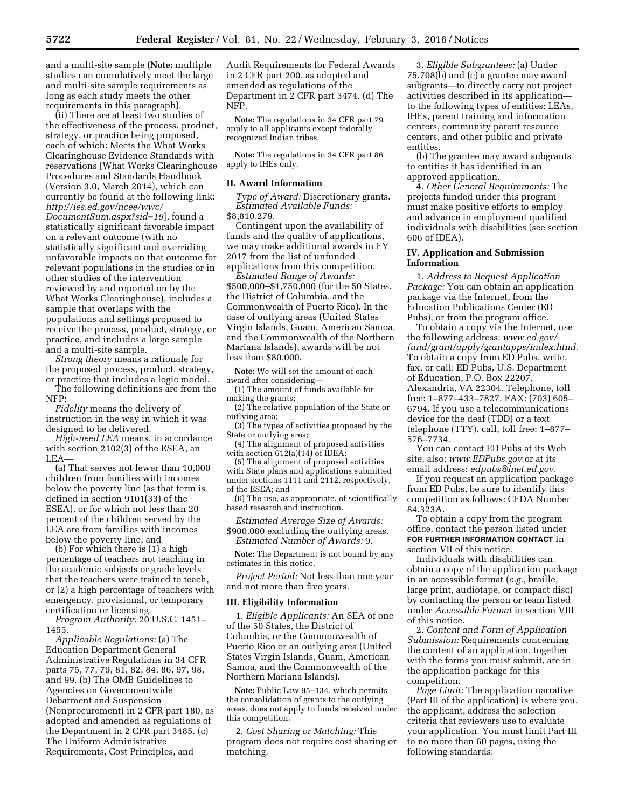and a multi-site sample (**Note:** multiple studies can cumulatively meet the large and multi-site sample requirements as long as each study meets the other requirements in this paragraph).

(ii) There are at least two studies of the effectiveness of the process, product, strategy, or practice being proposed, each of which: Meets the What Works Clearinghouse Evidence Standards with reservations [What Works Clearinghouse Procedures and Standards Handbook (Version 3.0, March 2014), which can currently be found at the following link: *[http://ies.ed.gov/ncee/wwc/](http://ies.ed.gov/ncee/wwc/DocumentSum.aspx?sid=19) [DocumentSum.aspx?sid=19](http://ies.ed.gov/ncee/wwc/DocumentSum.aspx?sid=19)*], found a statistically significant favorable impact on a relevant outcome (with no statistically significant and overriding unfavorable impacts on that outcome for relevant populations in the studies or in other studies of the intervention reviewed by and reported on by the What Works Clearinghouse), includes a sample that overlaps with the populations and settings proposed to receive the process, product, strategy, or practice, and includes a large sample and a multi-site sample.

*Strong theory* means a rationale for the proposed process, product, strategy, or practice that includes a logic model.

The following definitions are from the NFP:

*Fidelity* means the delivery of instruction in the way in which it was designed to be delivered.

*High-need LEA* means, in accordance with section 2102(3) of the ESEA, an LEA—

(a) That serves not fewer than 10,000 children from families with incomes below the poverty line (as that term is defined in section 9101(33) of the ESEA), or for which not less than 20 percent of the children served by the LEA are from families with incomes below the poverty line; and

(b) For which there is (1) a high percentage of teachers not teaching in the academic subjects or grade levels that the teachers were trained to teach, or (2) a high percentage of teachers with emergency, provisional, or temporary certification or licensing.

*Program Authority:* 20 U.S.C. 1451– 1455.

*Applicable Regulations:* (a) The Education Department General Administrative Regulations in 34 CFR parts 75, 77, 79, 81, 82, 84, 86, 97, 98, and 99. (b) The OMB Guidelines to Agencies on Governmentwide Debarment and Suspension (Nonprocurement) in 2 CFR part 180, as adopted and amended as regulations of the Department in 2 CFR part 3485. (c) The Uniform Administrative Requirements, Cost Principles, and

Audit Requirements for Federal Awards in 2 CFR part 200, as adopted and amended as regulations of the Department in 2 CFR part 3474. (d) The NFP.

**Note:** The regulations in 34 CFR part 79 apply to all applicants except federally recognized Indian tribes.

**Note:** The regulations in 34 CFR part 86 apply to IHEs only.

### **II. Award Information**

*Type of Award:* Discretionary grants. *Estimated Available Funds:*  \$8,810,279.

Contingent upon the availability of funds and the quality of applications, we may make additional awards in FY 2017 from the list of unfunded applications from this competition.

*Estimated Range of Awards:*  \$500,000–\$1,750,000 (for the 50 States, the District of Columbia, and the Commonwealth of Puerto Rico). In the case of outlying areas (United States Virgin Islands, Guam, American Samoa, and the Commonwealth of the Northern Mariana Islands), awards will be not less than \$80,000.

**Note:** We will set the amount of each award after considering—

(1) The amount of funds available for making the grants;

(2) The relative population of the State or outlying area;

(3) The types of activities proposed by the State or outlying area;

(4) The alignment of proposed activities with section  $612(a)(14)$  of IDEA;

(5) The alignment of proposed activities with State plans and applications submitted under sections 1111 and 2112, respectively, of the ESEA; and

(6) The use, as appropriate, of scientifically based research and instruction.

*Estimated Average Size of Awards:*  \$900,000 excluding the outlying areas. *Estimated Number of Awards:* 9.

**Note:** The Department is not bound by any estimates in this notice.

*Project Period:* Not less than one year and not more than five years.

#### **III. Eligibility Information**

1. *Eligible Applicants:* An SEA of one of the 50 States, the District of Columbia, or the Commonwealth of Puerto Rico or an outlying area (United States Virgin Islands, Guam, American Samoa, and the Commonwealth of the Northern Mariana Islands).

**Note:** Public Law 95–134, which permits the consolidation of grants to the outlying areas, does not apply to funds received under this competition.

2. *Cost Sharing or Matching:* This program does not require cost sharing or matching.

3. *Eligible Subgrantees:* (a) Under 75.708(b) and (c) a grantee may award subgrants—to directly carry out project activities described in its application to the following types of entities: LEAs, IHEs, parent training and information centers, community parent resource centers, and other public and private entities.

(b) The grantee may award subgrants to entities it has identified in an approved application.

4. *Other General Requirements:* The projects funded under this program must make positive efforts to employ and advance in employment qualified individuals with disabilities (see section 606 of IDEA).

## **IV. Application and Submission Information**

1. *Address to Request Application Package:* You can obtain an application package via the Internet, from the Education Publications Center (ED Pubs), or from the program office.

To obtain a copy via the Internet, use the following address: *[www.ed.gov/](http://www.ed.gov/fund/grant/apply/grantapps/index.html) [fund/grant/apply/grantapps/index.html.](http://www.ed.gov/fund/grant/apply/grantapps/index.html)*  To obtain a copy from ED Pubs, write, fax, or call: ED Pubs, U.S. Department of Education, P.O. Box 22207, Alexandria, VA 22304. Telephone, toll free: 1–877–433–7827. FAX: (703) 605– 6794. If you use a telecommunications device for the deaf (TDD) or a text telephone (TTY), call, toll free: 1–877– 576–7734.

You can contact ED Pubs at its Web site, also: *[www.EDPubs.gov](http://www.EDPubs.gov)* or at its email address: *[edpubs@inet.ed.gov.](mailto:edpubs@inet.ed.gov)* 

If you request an application package from ED Pubs, be sure to identify this competition as follows: CFDA Number 84.323A.

To obtain a copy from the program office, contact the person listed under **FOR FURTHER INFORMATION CONTACT** in section VII of this notice.

Individuals with disabilities can obtain a copy of the application package in an accessible format (*e.g.,* braille, large print, audiotape, or compact disc) by contacting the person or team listed under *Accessible Format* in section VIII of this notice.

2. *Content and Form of Application Submission:* Requirements concerning the content of an application, together with the forms you must submit, are in the application package for this competition.

*Page Limit:* The application narrative (Part III of the application) is where you, the applicant, address the selection criteria that reviewers use to evaluate your application. You must limit Part III to no more than 60 pages, using the following standards: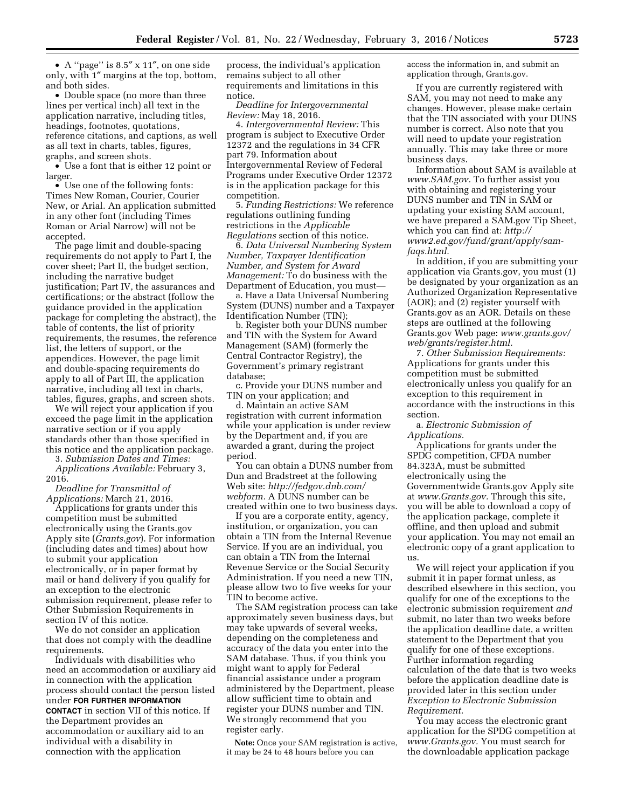• A ''page'' is 8.5″ x 11″, on one side only, with 1″ margins at the top, bottom, and both sides.

• Double space (no more than three lines per vertical inch) all text in the application narrative, including titles, headings, footnotes, quotations, reference citations, and captions, as well as all text in charts, tables, figures, graphs, and screen shots.

• Use a font that is either 12 point or larger.

• Use one of the following fonts: Times New Roman, Courier, Courier New, or Arial. An application submitted in any other font (including Times Roman or Arial Narrow) will not be accepted.

The page limit and double-spacing requirements do not apply to Part I, the cover sheet; Part II, the budget section, including the narrative budget justification; Part IV, the assurances and certifications; or the abstract (follow the guidance provided in the application package for completing the abstract), the table of contents, the list of priority requirements, the resumes, the reference list, the letters of support, or the appendices. However, the page limit and double-spacing requirements do apply to all of Part III, the application narrative, including all text in charts, tables, figures, graphs, and screen shots.

We will reject your application if you exceed the page limit in the application narrative section or if you apply standards other than those specified in this notice and the application package.

3. *Submission Dates and Times: Applications Available:* February 3, 2016.

*Deadline for Transmittal of Applications:* March 21, 2016.

Applications for grants under this competition must be submitted electronically using the Grants.gov Apply site (*Grants.gov*). For information (including dates and times) about how to submit your application electronically, or in paper format by mail or hand delivery if you qualify for an exception to the electronic submission requirement, please refer to Other Submission Requirements in section IV of this notice.

We do not consider an application that does not comply with the deadline requirements.

Individuals with disabilities who need an accommodation or auxiliary aid in connection with the application process should contact the person listed under **FOR FURTHER INFORMATION CONTACT** in section VII of this notice. If the Department provides an accommodation or auxiliary aid to an individual with a disability in connection with the application

process, the individual's application remains subject to all other requirements and limitations in this notice.

*Deadline for Intergovernmental Review:* May 18, 2016.

4. *Intergovernmental Review:* This program is subject to Executive Order 12372 and the regulations in 34 CFR part 79. Information about Intergovernmental Review of Federal Programs under Executive Order 12372 is in the application package for this competition.

5. *Funding Restrictions:* We reference regulations outlining funding restrictions in the *Applicable Regulations* section of this notice.

6. *Data Universal Numbering System Number, Taxpayer Identification Number, and System for Award Management:* To do business with the Department of Education, you must—

a. Have a Data Universal Numbering System (DUNS) number and a Taxpayer Identification Number (TIN);

b. Register both your DUNS number and TIN with the System for Award Management (SAM) (formerly the Central Contractor Registry), the Government's primary registrant database;

c. Provide your DUNS number and TIN on your application; and

d. Maintain an active SAM registration with current information while your application is under review by the Department and, if you are awarded a grant, during the project period.

You can obtain a DUNS number from Dun and Bradstreet at the following Web site: *[http://fedgov.dnb.com/](http://fedgov.dnb.com/webform) [webform.](http://fedgov.dnb.com/webform)* A DUNS number can be created within one to two business days.

If you are a corporate entity, agency, institution, or organization, you can obtain a TIN from the Internal Revenue Service. If you are an individual, you can obtain a TIN from the Internal Revenue Service or the Social Security Administration. If you need a new TIN, please allow two to five weeks for your TIN to become active.

The SAM registration process can take approximately seven business days, but may take upwards of several weeks, depending on the completeness and accuracy of the data you enter into the SAM database. Thus, if you think you might want to apply for Federal financial assistance under a program administered by the Department, please allow sufficient time to obtain and register your DUNS number and TIN. We strongly recommend that you register early.

**Note:** Once your SAM registration is active, it may be 24 to 48 hours before you can

access the information in, and submit an application through, Grants.gov.

If you are currently registered with SAM, you may not need to make any changes. However, please make certain that the TIN associated with your DUNS number is correct. Also note that you will need to update your registration annually. This may take three or more business days.

Information about SAM is available at *[www.SAM.gov.](http://www.SAM.gov)* To further assist you with obtaining and registering your DUNS number and TIN in SAM or updating your existing SAM account, we have prepared a SAM.gov Tip Sheet, which you can find at: *[http://](http://www2.ed.gov/fund/grant/apply/sam-faqs.html) [www2.ed.gov/fund/grant/apply/sam](http://www2.ed.gov/fund/grant/apply/sam-faqs.html)[faqs.html.](http://www2.ed.gov/fund/grant/apply/sam-faqs.html)* 

In addition, if you are submitting your application via Grants.gov, you must (1) be designated by your organization as an Authorized Organization Representative (AOR); and (2) register yourself with Grants.gov as an AOR. Details on these steps are outlined at the following Grants.gov Web page: *[www.grants.gov/](http://www.grants.gov/web/grants/register.html) [web/grants/register.html.](http://www.grants.gov/web/grants/register.html)* 

7. *Other Submission Requirements:*  Applications for grants under this competition must be submitted electronically unless you qualify for an exception to this requirement in accordance with the instructions in this section.

a. *Electronic Submission of Applications.* 

Applications for grants under the SPDG competition, CFDA number 84.323A, must be submitted electronically using the Governmentwide Grants.gov Apply site at *[www.Grants.gov.](http://www.Grants.gov)* Through this site, you will be able to download a copy of the application package, complete it offline, and then upload and submit your application. You may not email an electronic copy of a grant application to us.

We will reject your application if you submit it in paper format unless, as described elsewhere in this section, you qualify for one of the exceptions to the electronic submission requirement *and*  submit, no later than two weeks before the application deadline date, a written statement to the Department that you qualify for one of these exceptions. Further information regarding calculation of the date that is two weeks before the application deadline date is provided later in this section under *Exception to Electronic Submission Requirement*.

You may access the electronic grant application for the SPDG competition at *[www.Grants.gov.](http://www.Grants.gov)* You must search for the downloadable application package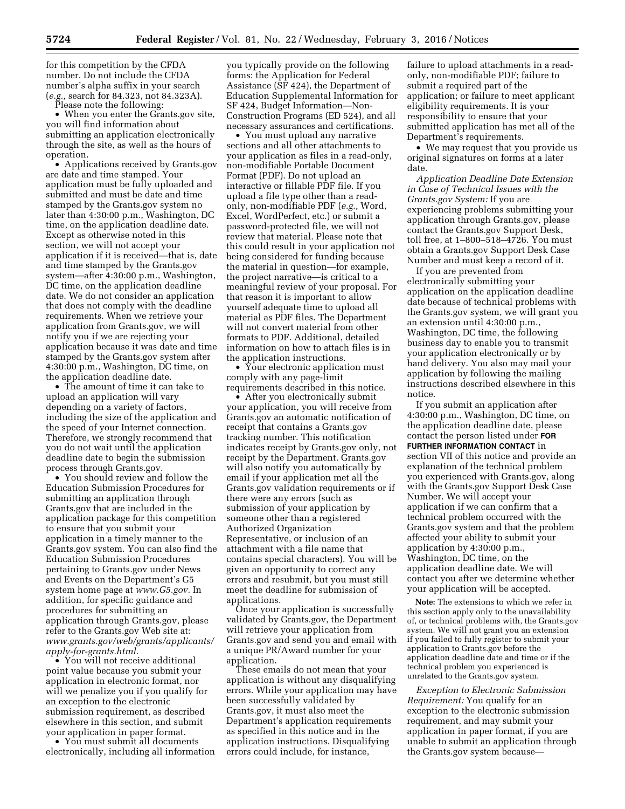for this competition by the CFDA number. Do not include the CFDA number's alpha suffix in your search (*e.g.,* search for 84.323, not 84.323A).

Please note the following:

• When you enter the Grants.gov site, you will find information about submitting an application electronically through the site, as well as the hours of operation.

• Applications received by Grants.gov are date and time stamped. Your application must be fully uploaded and submitted and must be date and time stamped by the Grants.gov system no later than 4:30:00 p.m., Washington, DC time, on the application deadline date. Except as otherwise noted in this section, we will not accept your application if it is received—that is, date and time stamped by the Grants.gov system—after 4:30:00 p.m., Washington, DC time, on the application deadline date. We do not consider an application that does not comply with the deadline requirements. When we retrieve your application from Grants.gov, we will notify you if we are rejecting your application because it was date and time stamped by the Grants.gov system after 4:30:00 p.m., Washington, DC time, on the application deadline date.

• The amount of time it can take to upload an application will vary depending on a variety of factors, including the size of the application and the speed of your Internet connection. Therefore, we strongly recommend that you do not wait until the application deadline date to begin the submission process through Grants.gov.

• You should review and follow the Education Submission Procedures for submitting an application through Grants.gov that are included in the application package for this competition to ensure that you submit your application in a timely manner to the Grants.gov system. You can also find the Education Submission Procedures pertaining to Grants.gov under News and Events on the Department's G5 system home page at *[www.G5.gov](http://www.G5.gov)*. In addition, for specific guidance and procedures for submitting an application through Grants.gov, please refer to the Grants.gov Web site at: *[www.grants.gov/web/grants/applicants/](http://www.grants.gov/web/grants/applicants/apply-for-grants.html) [apply-for-grants.html](http://www.grants.gov/web/grants/applicants/apply-for-grants.html)*.

• You will not receive additional point value because you submit your application in electronic format, nor will we penalize you if you qualify for an exception to the electronic submission requirement, as described elsewhere in this section, and submit your application in paper format.

• You must submit all documents electronically, including all information you typically provide on the following forms: the Application for Federal Assistance (SF 424), the Department of Education Supplemental Information for SF 424, Budget Information—Non-Construction Programs (ED 524), and all necessary assurances and certifications.

• You must upload any narrative sections and all other attachments to your application as files in a read-only, non-modifiable Portable Document Format (PDF). Do not upload an interactive or fillable PDF file. If you upload a file type other than a readonly, non-modifiable PDF (*e.g.,* Word, Excel, WordPerfect, etc.) or submit a password-protected file, we will not review that material. Please note that this could result in your application not being considered for funding because the material in question—for example, the project narrative—is critical to a meaningful review of your proposal. For that reason it is important to allow yourself adequate time to upload all material as PDF files. The Department will not convert material from other formats to PDF. Additional, detailed information on how to attach files is in the application instructions.

• Your electronic application must comply with any page-limit requirements described in this notice.

• After you electronically submit your application, you will receive from Grants.gov an automatic notification of receipt that contains a Grants.gov tracking number. This notification indicates receipt by Grants.gov only, not receipt by the Department. Grants.gov will also notify you automatically by email if your application met all the Grants.gov validation requirements or if there were any errors (such as submission of your application by someone other than a registered Authorized Organization Representative, or inclusion of an attachment with a file name that contains special characters). You will be given an opportunity to correct any errors and resubmit, but you must still meet the deadline for submission of applications.

Once your application is successfully validated by Grants.gov, the Department will retrieve your application from Grants.gov and send you and email with a unique PR/Award number for your application.

These emails do not mean that your application is without any disqualifying errors. While your application may have been successfully validated by Grants.gov, it must also meet the Department's application requirements as specified in this notice and in the application instructions. Disqualifying errors could include, for instance,

failure to upload attachments in a readonly, non-modifiable PDF; failure to submit a required part of the application; or failure to meet applicant eligibility requirements. It is your responsibility to ensure that your submitted application has met all of the Department's requirements.

• We may request that you provide us original signatures on forms at a later date.

*Application Deadline Date Extension in Case of Technical Issues with the Grants.gov System:* If you are experiencing problems submitting your application through Grants.gov, please contact the Grants.gov Support Desk, toll free, at 1–800–518–4726. You must obtain a Grants.gov Support Desk Case Number and must keep a record of it.

If you are prevented from electronically submitting your application on the application deadline date because of technical problems with the Grants.gov system, we will grant you an extension until 4:30:00 p.m., Washington, DC time, the following business day to enable you to transmit your application electronically or by hand delivery. You also may mail your application by following the mailing instructions described elsewhere in this notice.

If you submit an application after 4:30:00 p.m., Washington, DC time, on the application deadline date, please contact the person listed under **FOR FURTHER INFORMATION CONTACT** in section VII of this notice and provide an explanation of the technical problem you experienced with Grants.gov, along with the Grants.gov Support Desk Case Number. We will accept your application if we can confirm that a technical problem occurred with the Grants.gov system and that the problem affected your ability to submit your application by 4:30:00 p.m., Washington, DC time, on the application deadline date. We will contact you after we determine whether your application will be accepted.

**Note:** The extensions to which we refer in this section apply only to the unavailability of, or technical problems with, the Grants.gov system. We will not grant you an extension if you failed to fully register to submit your application to Grants.gov before the application deadline date and time or if the technical problem you experienced is unrelated to the Grants.gov system.

*Exception to Electronic Submission Requirement:* You qualify for an exception to the electronic submission requirement, and may submit your application in paper format, if you are unable to submit an application through the Grants.gov system because—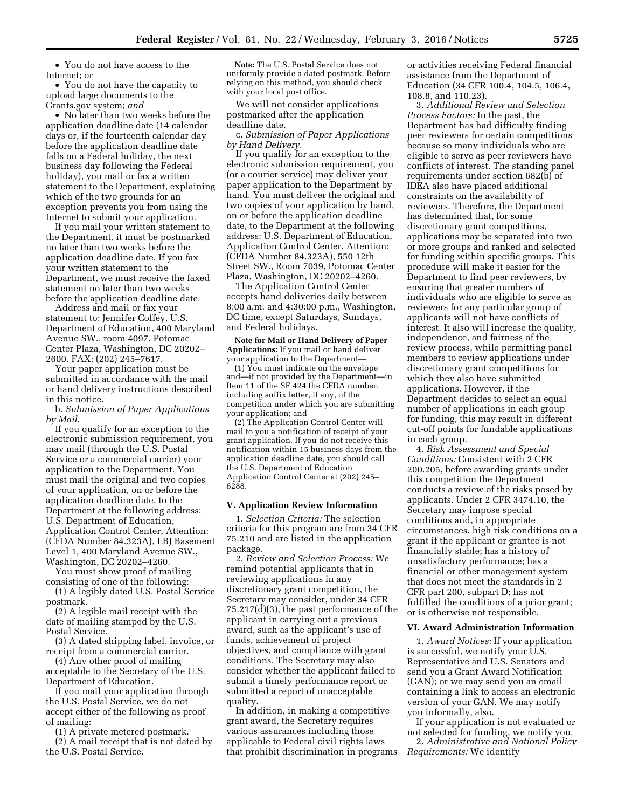• You do not have access to the Internet; or

• You do not have the capacity to upload large documents to the Grants.gov system; *and* 

• No later than two weeks before the application deadline date (14 calendar days or, if the fourteenth calendar day before the application deadline date falls on a Federal holiday, the next business day following the Federal holiday), you mail or fax a written statement to the Department, explaining which of the two grounds for an exception prevents you from using the Internet to submit your application.

If you mail your written statement to the Department, it must be postmarked no later than two weeks before the application deadline date. If you fax your written statement to the Department, we must receive the faxed statement no later than two weeks before the application deadline date.

Address and mail or fax your statement to: Jennifer Coffey, U.S. Department of Education, 400 Maryland Avenue SW., room 4097, Potomac Center Plaza, Washington, DC 20202– 2600. FAX: (202) 245–7617.

Your paper application must be submitted in accordance with the mail or hand delivery instructions described in this notice.

b. *Submission of Paper Applications by Mail*.

If you qualify for an exception to the electronic submission requirement, you may mail (through the U.S. Postal Service or a commercial carrier) your application to the Department. You must mail the original and two copies of your application, on or before the application deadline date, to the Department at the following address: U.S. Department of Education, Application Control Center, Attention: (CFDA Number 84.323A), LBJ Basement Level 1, 400 Maryland Avenue SW., Washington, DC 20202–4260.

You must show proof of mailing consisting of one of the following:

(1) A legibly dated U.S. Postal Service postmark.

(2) A legible mail receipt with the date of mailing stamped by the U.S. Postal Service.

(3) A dated shipping label, invoice, or receipt from a commercial carrier.

(4) Any other proof of mailing acceptable to the Secretary of the U.S. Department of Education.

If you mail your application through the U.S. Postal Service, we do not accept either of the following as proof of mailing:

(1) A private metered postmark. (2) A mail receipt that is not dated by the U.S. Postal Service.

**Note:** The U.S. Postal Service does not uniformly provide a dated postmark. Before relying on this method, you should check with your local post office.

We will not consider applications postmarked after the application deadline date.

c. *Submission of Paper Applications by Hand Delivery*.

If you qualify for an exception to the electronic submission requirement, you (or a courier service) may deliver your paper application to the Department by hand. You must deliver the original and two copies of your application by hand, on or before the application deadline date, to the Department at the following address: U.S. Department of Education, Application Control Center, Attention: (CFDA Number 84.323A), 550 12th Street SW., Room 7039, Potomac Center Plaza, Washington, DC 20202–4260.

The Application Control Center accepts hand deliveries daily between 8:00 a.m. and 4:30:00 p.m., Washington, DC time, except Saturdays, Sundays, and Federal holidays.

**Note for Mail or Hand Delivery of Paper Applications:** If you mail or hand deliver your application to the Department—

(1) You must indicate on the envelope and—if not provided by the Department—in Item 11 of the SF 424 the CFDA number, including suffix letter, if any, of the competition under which you are submitting your application; and

(2) The Application Control Center will mail to you a notification of receipt of your grant application. If you do not receive this notification within 15 business days from the application deadline date, you should call the U.S. Department of Education Application Control Center at (202) 245– 6288.

### **V. Application Review Information**

1. *Selection Criteria:* The selection criteria for this program are from 34 CFR 75.210 and are listed in the application package.

2. *Review and Selection Process:* We remind potential applicants that in reviewing applications in any discretionary grant competition, the Secretary may consider, under 34 CFR 75.217(d)(3), the past performance of the applicant in carrying out a previous award, such as the applicant's use of funds, achievement of project objectives, and compliance with grant conditions. The Secretary may also consider whether the applicant failed to submit a timely performance report or submitted a report of unacceptable quality.

In addition, in making a competitive grant award, the Secretary requires various assurances including those applicable to Federal civil rights laws that prohibit discrimination in programs

or activities receiving Federal financial assistance from the Department of Education (34 CFR 100.4, 104.5, 106.4, 108.8, and 110.23).

3. *Additional Review and Selection Process Factors:* In the past, the Department has had difficulty finding peer reviewers for certain competitions because so many individuals who are eligible to serve as peer reviewers have conflicts of interest. The standing panel requirements under section 682(b) of IDEA also have placed additional constraints on the availability of reviewers. Therefore, the Department has determined that, for some discretionary grant competitions, applications may be separated into two or more groups and ranked and selected for funding within specific groups. This procedure will make it easier for the Department to find peer reviewers, by ensuring that greater numbers of individuals who are eligible to serve as reviewers for any particular group of applicants will not have conflicts of interest. It also will increase the quality, independence, and fairness of the review process, while permitting panel members to review applications under discretionary grant competitions for which they also have submitted applications. However, if the Department decides to select an equal number of applications in each group for funding, this may result in different cut-off points for fundable applications in each group.

4. *Risk Assessment and Special Conditions:* Consistent with 2 CFR 200.205, before awarding grants under this competition the Department conducts a review of the risks posed by applicants. Under 2 CFR 3474.10, the Secretary may impose special conditions and, in appropriate circumstances, high risk conditions on a grant if the applicant or grantee is not financially stable; has a history of unsatisfactory performance; has a financial or other management system that does not meet the standards in 2 CFR part 200, subpart D; has not fulfilled the conditions of a prior grant; or is otherwise not responsible.

## **VI. Award Administration Information**

1. *Award Notices:* If your application is successful, we notify your U.S. Representative and U.S. Senators and send you a Grant Award Notification (GAN); or we may send you an email containing a link to access an electronic version of your GAN. We may notify you informally, also.

If your application is not evaluated or not selected for funding, we notify you.

2. *Administrative and National Policy Requirements:* We identify